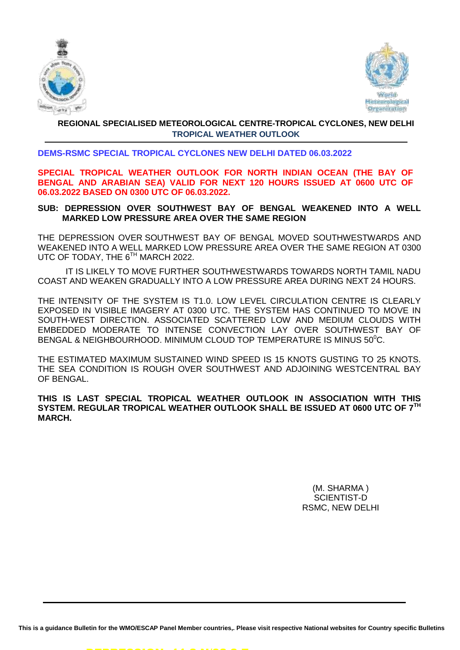



## **REGIONAL SPECIALISED METEOROLOGICAL CENTRE-TROPICAL CYCLONES, NEW DELHI TROPICAL WEATHER OUTLOOK**

## **DEMS-RSMC SPECIAL TROPICAL CYCLONES NEW DELHI DATED 06.03.2022**

**SPECIAL TROPICAL WEATHER OUTLOOK FOR NORTH INDIAN OCEAN (THE BAY OF BENGAL AND ARABIAN SEA) VALID FOR NEXT 120 HOURS ISSUED AT 0600 UTC OF 06.03.2022 BASED ON 0300 UTC OF 06.03.2022.**

## **SUB: DEPRESSION OVER SOUTHWEST BAY OF BENGAL WEAKENED INTO A WELL MARKED LOW PRESSURE AREA OVER THE SAME REGION**

THE DEPRESSION OVER SOUTHWEST BAY OF BENGAL MOVED SOUTHWESTWARDS AND WEAKENED INTO A WELL MARKED LOW PRESSURE AREA OVER THE SAME REGION AT 0300 UTC OF TODAY, THE 6<sup>TH</sup> MARCH 2022.

IT IS LIKELY TO MOVE FURTHER SOUTHWESTWARDS TOWARDS NORTH TAMIL NADU COAST AND WEAKEN GRADUALLY INTO A LOW PRESSURE AREA DURING NEXT 24 HOURS.

THE INTENSITY OF THE SYSTEM IS T1.0. LOW LEVEL CIRCULATION CENTRE IS CLEARLY EXPOSED IN VISIBLE IMAGERY AT 0300 UTC. THE SYSTEM HAS CONTINUED TO MOVE IN SOUTH-WEST DIRECTION. ASSOCIATED SCATTERED LOW AND MEDIUM CLOUDS WITH EMBEDDED MODERATE TO INTENSE CONVECTION LAY OVER SOUTHWEST BAY OF BENGAL & NEIGHBOURHOOD. MINIMUM CLOUD TOP TEMPERATURE IS MINUS 50°C.

THE ESTIMATED MAXIMUM SUSTAINED WIND SPEED IS 15 KNOTS GUSTING TO 25 KNOTS. THE SEA CONDITION IS ROUGH OVER SOUTHWEST AND ADJOINING WESTCENTRAL BAY OF BENGAL.

## **THIS IS LAST SPECIAL TROPICAL WEATHER OUTLOOK IN ASSOCIATION WITH THIS SYSTEM. REGULAR TROPICAL WEATHER OUTLOOK SHALL BE ISSUED AT 0600 UTC OF 7TH MARCH.**

(M. SHARMA ) SCIENTIST-D RSMC, NEW DELHI

**This is a guidance Bulletin for the WMO/ESCAP Panel Member countries,. Please visit respective National websites for Country specific Bulletins**

DEPRESSION: 11.2 N/82.2 E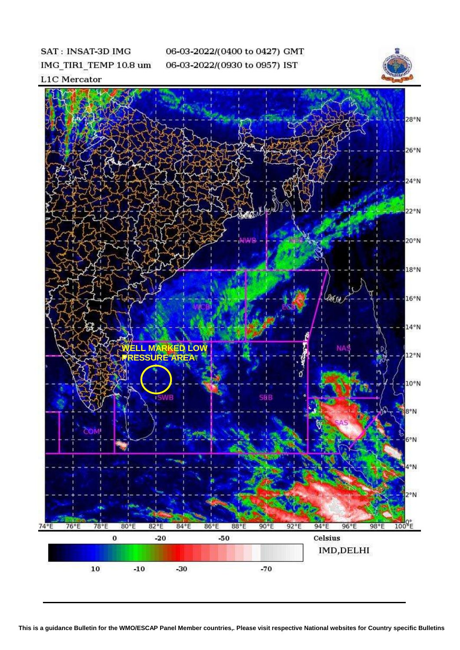SAT: INSAT-3D IMG IMG\_TIR1\_TEMP 10.8 um 06-03-2022/(0400 to 0427) GMT 06-03-2022/(0930 to 0957) IST



**L1C** Mercator

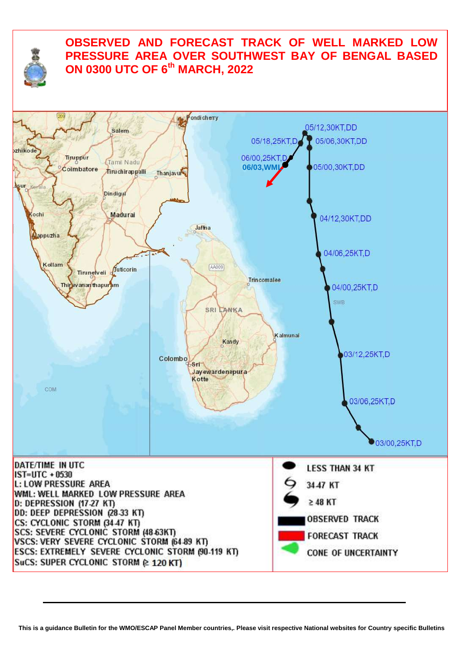

## **OBSERVED AND FORECAST TRACK OF WELL MARKED LOW PRESSURE AREA OVER SOUTHWEST BAY OF BENGAL BASED ON 0300 UTC OF 6th MARCH, 2022**